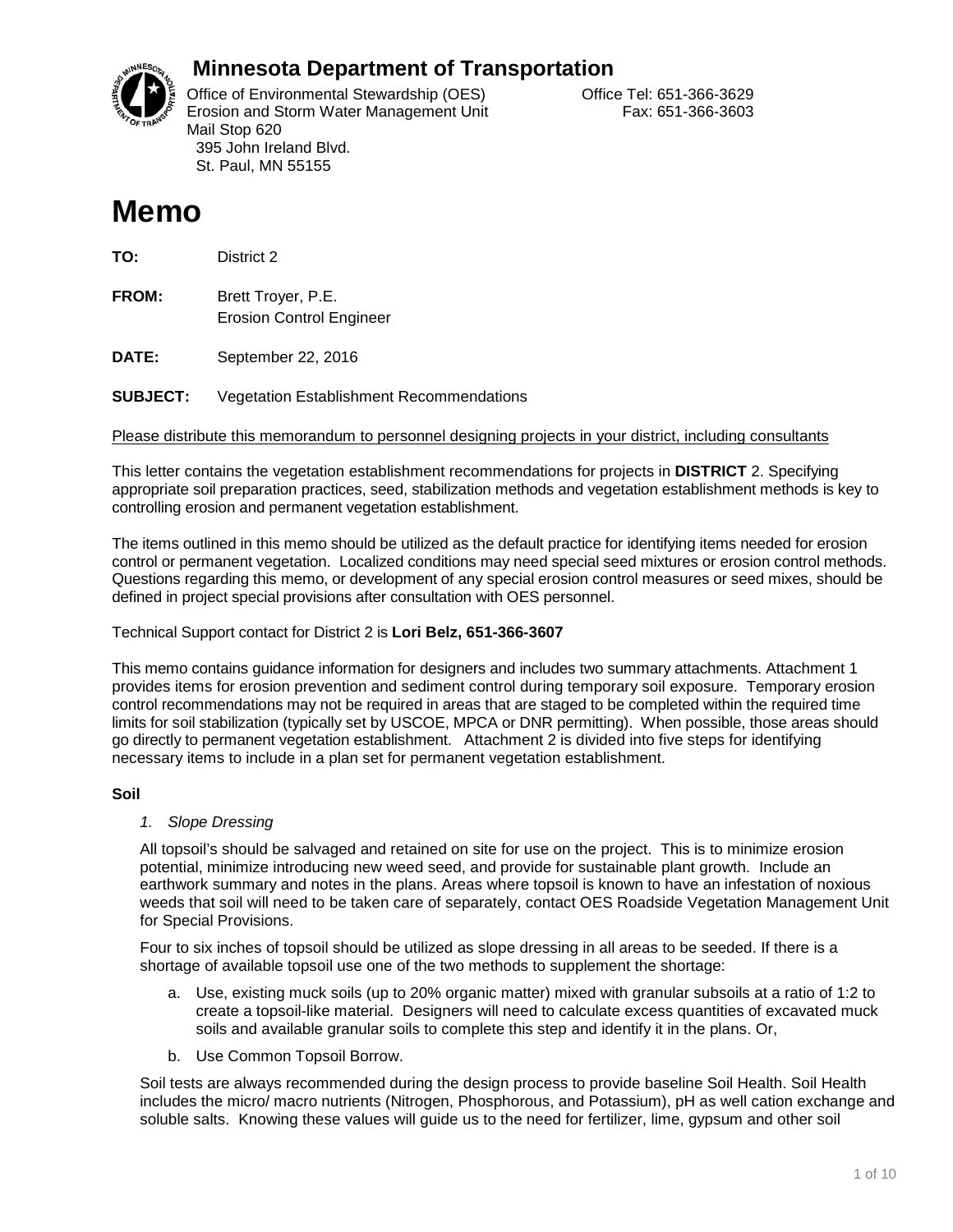

## **Minnesota Department of Transportation**

Office of Environmental Stewardship (OES) Correct Correct Correct Correct Correct Office Tel: 651-366-3629 Erosion and Storm Water Management Unit Fax: 651-366-3603 Mail Stop 620 395 John Ireland Blvd. St. Paul, MN 55155

# **Memo**

**TO:** District 2

**FROM:** Brett Troyer, P.E. Erosion Control Engineer

**DATE:** September 22, 2016

**SUBJECT:** Vegetation Establishment Recommendations

Please distribute this memorandum to personnel designing projects in your district, including consultants

This letter contains the vegetation establishment recommendations for projects in **DISTRICT** 2. Specifying appropriate soil preparation practices, seed, stabilization methods and vegetation establishment methods is key to controlling erosion and permanent vegetation establishment.

The items outlined in this memo should be utilized as the default practice for identifying items needed for erosion control or permanent vegetation. Localized conditions may need special seed mixtures or erosion control methods. Questions regarding this memo, or development of any special erosion control measures or seed mixes, should be defined in project special provisions after consultation with OES personnel.

#### Technical Support contact for District 2 is **Lori Belz, 651-366-3607**

This memo contains guidance information for designers and includes two summary attachments. Attachment 1 provides items for erosion prevention and sediment control during temporary soil exposure. Temporary erosion control recommendations may not be required in areas that are staged to be completed within the required time limits for soil stabilization (typically set by USCOE, MPCA or DNR permitting). When possible, those areas should go directly to permanent vegetation establishment. Attachment 2 is divided into five steps for identifying necessary items to include in a plan set for permanent vegetation establishment.

#### **Soil**

#### *1. Slope Dressing*

All topsoil's should be salvaged and retained on site for use on the project. This is to minimize erosion potential, minimize introducing new weed seed, and provide for sustainable plant growth. Include an earthwork summary and notes in the plans. Areas where topsoil is known to have an infestation of noxious weeds that soil will need to be taken care of separately, contact OES Roadside Vegetation Management Unit for Special Provisions.

Four to six inches of topsoil should be utilized as slope dressing in all areas to be seeded. If there is a shortage of available topsoil use one of the two methods to supplement the shortage:

- a. Use, existing muck soils (up to 20% organic matter) mixed with granular subsoils at a ratio of 1:2 to create a topsoil-like material. Designers will need to calculate excess quantities of excavated muck soils and available granular soils to complete this step and identify it in the plans. Or,
- b. Use Common Topsoil Borrow.

Soil tests are always recommended during the design process to provide baseline Soil Health. Soil Health includes the micro/ macro nutrients (Nitrogen, Phosphorous, and Potassium), pH as well cation exchange and soluble salts. Knowing these values will guide us to the need for fertilizer, lime, gypsum and other soil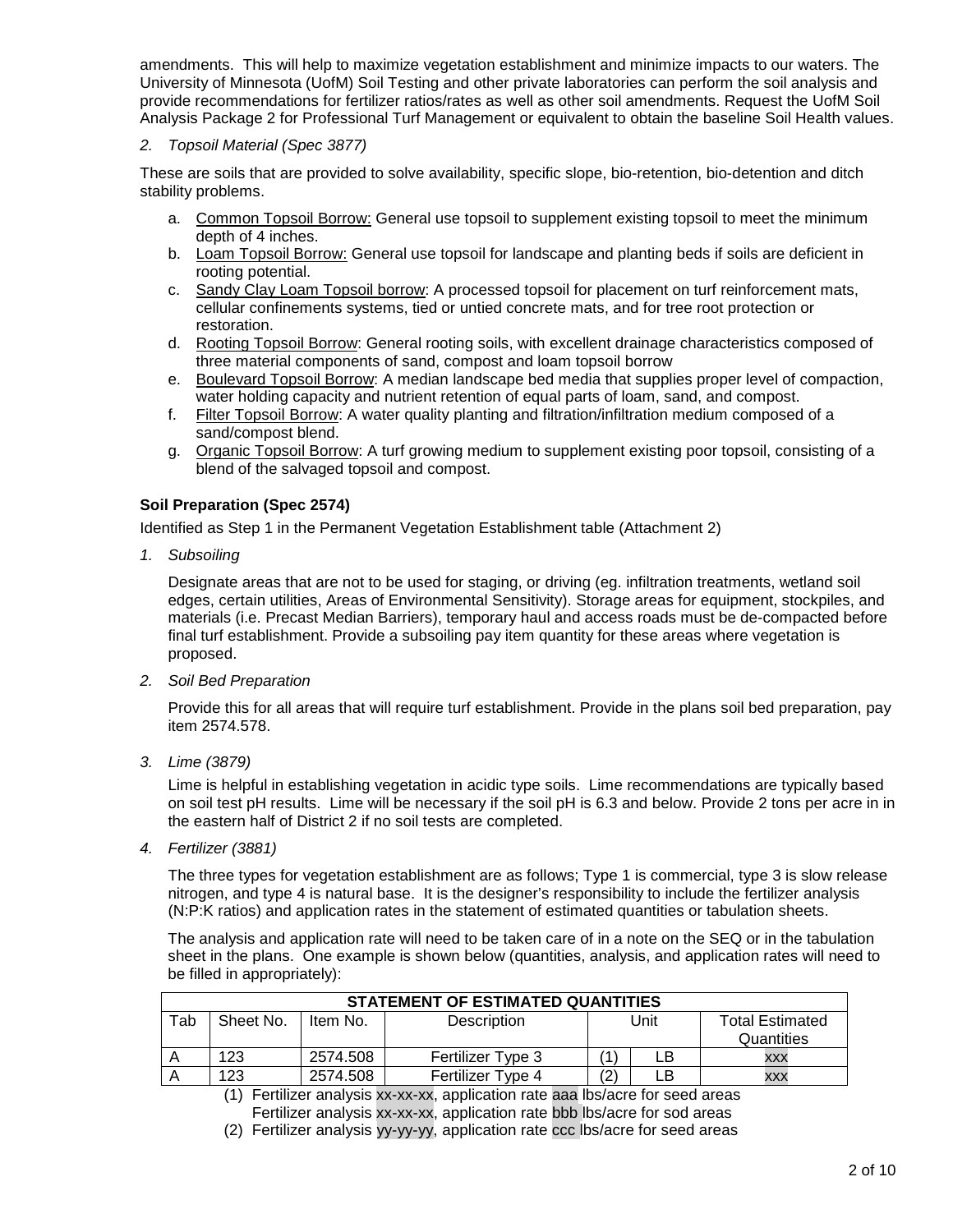amendments. This will help to maximize vegetation establishment and minimize impacts to our waters. The University of Minnesota (UofM) Soil Testing and other private laboratories can perform the soil analysis and provide recommendations for fertilizer ratios/rates as well as other soil amendments. Request the UofM Soil Analysis Package 2 for Professional Turf Management or equivalent to obtain the baseline Soil Health values.

#### *2. Topsoil Material (Spec 3877)*

These are soils that are provided to solve availability, specific slope, bio-retention, bio-detention and ditch stability problems.

- a. Common Topsoil Borrow: General use topsoil to supplement existing topsoil to meet the minimum depth of 4 inches.
- b. Loam Topsoil Borrow: General use topsoil for landscape and planting beds if soils are deficient in rooting potential.
- c. Sandy Clay Loam Topsoil borrow: A processed topsoil for placement on turf reinforcement mats, cellular confinements systems, tied or untied concrete mats, and for tree root protection or restoration.
- d. Rooting Topsoil Borrow: General rooting soils, with excellent drainage characteristics composed of three material components of sand, compost and loam topsoil borrow
- e. Boulevard Topsoil Borrow: A median landscape bed media that supplies proper level of compaction, water holding capacity and nutrient retention of equal parts of loam, sand, and compost.
- f. Filter Topsoil Borrow: A water quality planting and filtration/infiltration medium composed of a sand/compost blend.
- g. Organic Topsoil Borrow: A turf growing medium to supplement existing poor topsoil, consisting of a blend of the salvaged topsoil and compost.

#### **Soil Preparation (Spec 2574)**

Identified as Step 1 in the Permanent Vegetation Establishment table (Attachment 2)

*1. Subsoiling*

Designate areas that are not to be used for staging, or driving (eg. infiltration treatments, wetland soil edges, certain utilities, Areas of Environmental Sensitivity). Storage areas for equipment, stockpiles, and materials (i.e. Precast Median Barriers), temporary haul and access roads must be de-compacted before final turf establishment. Provide a subsoiling pay item quantity for these areas where vegetation is proposed.

*2. Soil Bed Preparation*

Provide this for all areas that will require turf establishment. Provide in the plans soil bed preparation, pay item 2574.578.

*3. Lime (3879)*

Lime is helpful in establishing vegetation in acidic type soils. Lime recommendations are typically based on soil test pH results. Lime will be necessary if the soil pH is 6.3 and below. Provide 2 tons per acre in in the eastern half of District 2 if no soil tests are completed.

*4. Fertilizer (3881)*

The three types for vegetation establishment are as follows; Type 1 is commercial, type 3 is slow release nitrogen, and type 4 is natural base. It is the designer's responsibility to include the fertilizer analysis (N:P:K ratios) and application rates in the statement of estimated quantities or tabulation sheets.

The analysis and application rate will need to be taken care of in a note on the SEQ or in the tabulation sheet in the plans. One example is shown below (quantities, analysis, and application rates will need to be filled in appropriately):

| <b>STATEMENT OF ESTIMATED QUANTITIES</b> |                                                                        |          |                          |     |            |            |  |
|------------------------------------------|------------------------------------------------------------------------|----------|--------------------------|-----|------------|------------|--|
| Tab                                      | Sheet No.<br>Unit<br>Description<br><b>Total Estimated</b><br>Item No. |          |                          |     |            |            |  |
|                                          |                                                                        |          |                          |     | Quantities |            |  |
|                                          | 123                                                                    | 2574.508 | <b>Fertilizer Type 3</b> |     | LВ         | <b>XXX</b> |  |
|                                          | 123                                                                    | 2574.508 | Fertilizer Type 4        | (2` | _B         | XXX        |  |

(1) Fertilizer analysis xx-xx-xx, application rate aaa lbs/acre for seed areas Fertilizer analysis xx-xx-xx, application rate bbb lbs/acre for sod areas

(2) Fertilizer analysis yy-yy-yy, application rate ccc lbs/acre for seed areas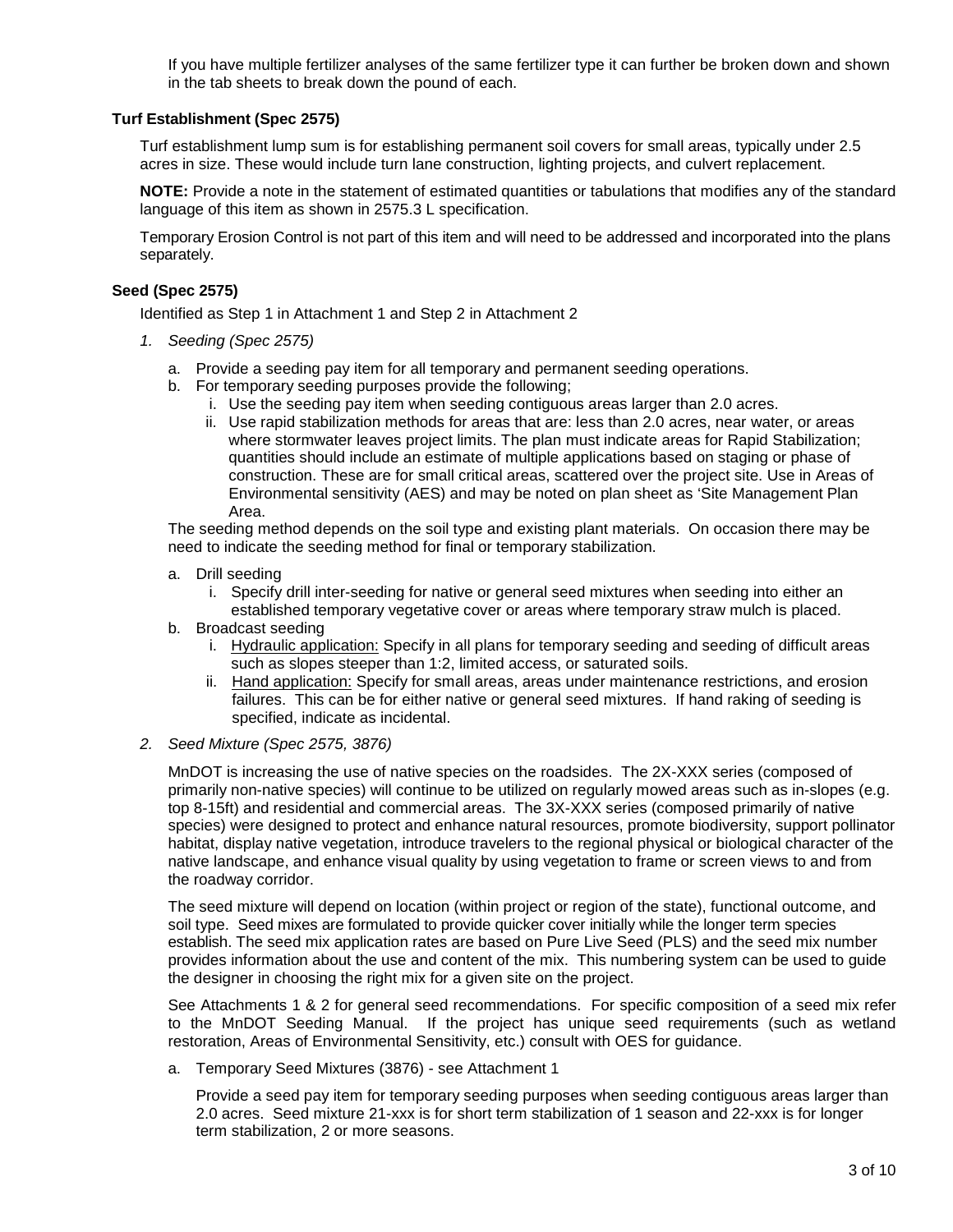If you have multiple fertilizer analyses of the same fertilizer type it can further be broken down and shown in the tab sheets to break down the pound of each.

#### **Turf Establishment (Spec 2575)**

Turf establishment lump sum is for establishing permanent soil covers for small areas, typically under 2.5 acres in size. These would include turn lane construction, lighting projects, and culvert replacement.

**NOTE:** Provide a note in the statement of estimated quantities or tabulations that modifies any of the standard language of this item as shown in 2575.3 L specification.

Temporary Erosion Control is not part of this item and will need to be addressed and incorporated into the plans separately.

#### **Seed (Spec 2575)**

Identified as Step 1 in Attachment 1 and Step 2 in Attachment 2

- *1. Seeding (Spec 2575)*
	- a. Provide a seeding pay item for all temporary and permanent seeding operations.
	- b. For temporary seeding purposes provide the following;
		- i. Use the seeding pay item when seeding contiguous areas larger than 2.0 acres.
		- ii. Use rapid stabilization methods for areas that are: less than 2.0 acres, near water, or areas where stormwater leaves project limits. The plan must indicate areas for Rapid Stabilization; quantities should include an estimate of multiple applications based on staging or phase of construction. These are for small critical areas, scattered over the project site. Use in Areas of Environmental sensitivity (AES) and may be noted on plan sheet as 'Site Management Plan Area.

The seeding method depends on the soil type and existing plant materials. On occasion there may be need to indicate the seeding method for final or temporary stabilization.

- a. Drill seeding
	- i. Specify drill inter-seeding for native or general seed mixtures when seeding into either an established temporary vegetative cover or areas where temporary straw mulch is placed.
- b. Broadcast seeding
	- i. Hydraulic application: Specify in all plans for temporary seeding and seeding of difficult areas such as slopes steeper than 1:2, limited access, or saturated soils.
	- ii. Hand application: Specify for small areas, areas under maintenance restrictions, and erosion failures. This can be for either native or general seed mixtures. If hand raking of seeding is specified, indicate as incidental.

#### *2. Seed Mixture (Spec 2575, 3876)*

MnDOT is increasing the use of native species on the roadsides. The 2X-XXX series (composed of primarily non-native species) will continue to be utilized on regularly mowed areas such as in-slopes (e.g. top 8-15ft) and residential and commercial areas. The 3X-XXX series (composed primarily of native species) were designed to protect and enhance natural resources, promote biodiversity, support pollinator habitat, display native vegetation, introduce travelers to the regional physical or biological character of the native landscape, and enhance visual quality by using vegetation to frame or screen views to and from the roadway corridor.

The seed mixture will depend on location (within project or region of the state), functional outcome, and soil type. Seed mixes are formulated to provide quicker cover initially while the longer term species establish. The seed mix application rates are based on Pure Live Seed (PLS) and the seed mix number provides information about the use and content of the mix. This numbering system can be used to guide the designer in choosing the right mix for a given site on the project.

See Attachments 1 & 2 for general seed recommendations. For specific composition of a seed mix refer to the MnDOT Seeding Manual. If the project has unique seed requirements (such as wetland restoration, Areas of Environmental Sensitivity, etc.) consult with OES for guidance.

a. Temporary Seed Mixtures (3876) - see Attachment 1

Provide a seed pay item for temporary seeding purposes when seeding contiguous areas larger than 2.0 acres. Seed mixture 21-xxx is for short term stabilization of 1 season and 22-xxx is for longer term stabilization, 2 or more seasons.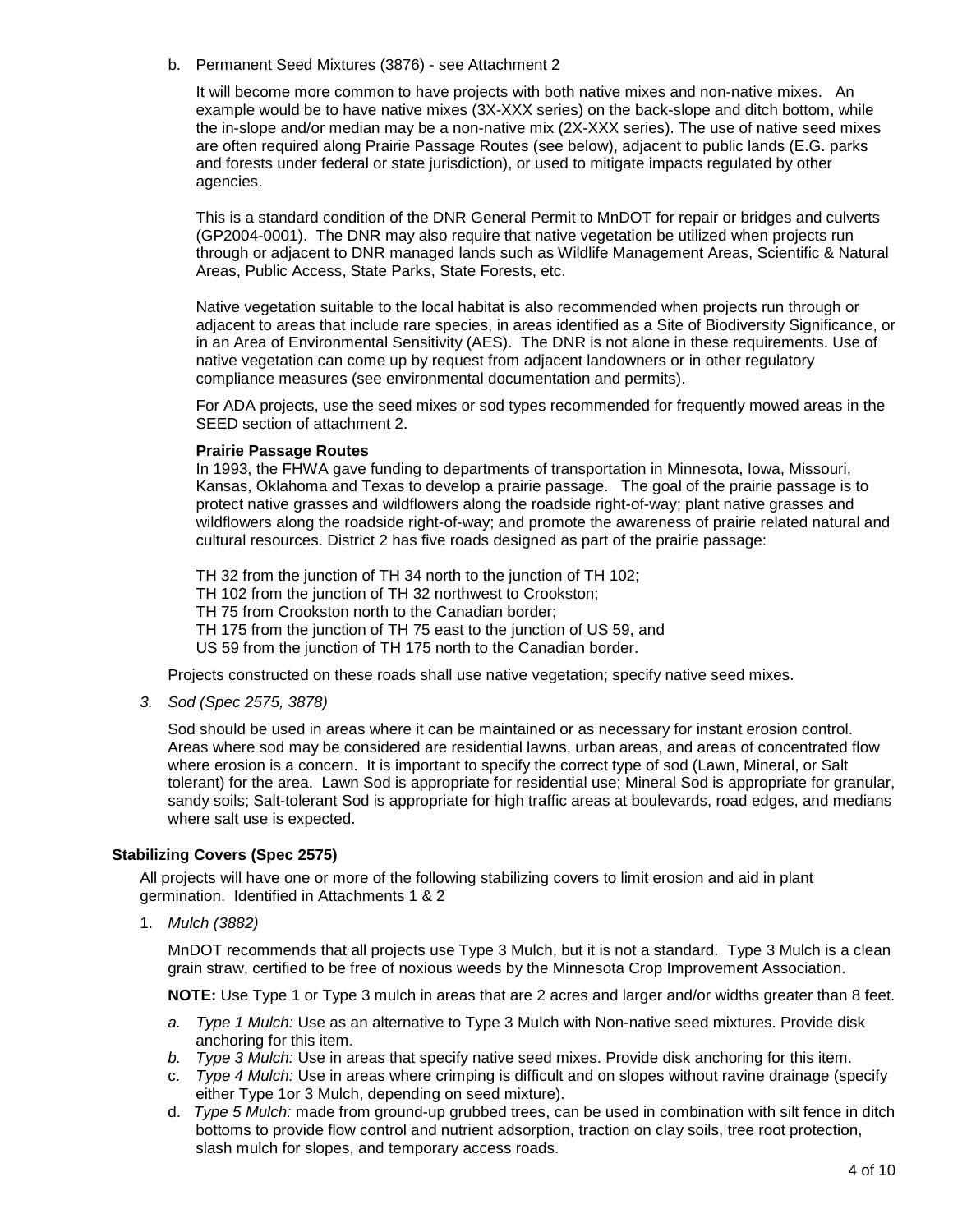b. Permanent Seed Mixtures (3876) - see Attachment 2

It will become more common to have projects with both native mixes and non-native mixes. An example would be to have native mixes (3X-XXX series) on the back-slope and ditch bottom, while the in-slope and/or median may be a non-native mix (2X-XXX series). The use of native seed mixes are often required along Prairie Passage Routes (see below), adjacent to public lands (E.G. parks and forests under federal or state jurisdiction), or used to mitigate impacts regulated by other agencies.

This is a standard condition of the DNR General Permit to MnDOT for repair or bridges and culverts (GP2004-0001). The DNR may also require that native vegetation be utilized when projects run through or adjacent to DNR managed lands such as Wildlife Management Areas, Scientific & Natural Areas, Public Access, State Parks, State Forests, etc.

Native vegetation suitable to the local habitat is also recommended when projects run through or adjacent to areas that include rare species, in areas identified as a Site of Biodiversity Significance, or in an Area of Environmental Sensitivity (AES). The DNR is not alone in these requirements. Use of native vegetation can come up by request from adjacent landowners or in other regulatory compliance measures (see environmental documentation and permits).

For ADA projects, use the seed mixes or sod types recommended for frequently mowed areas in the SEED section of attachment 2.

#### **Prairie Passage Routes**

In 1993, the FHWA gave funding to departments of transportation in Minnesota, Iowa, Missouri, Kansas, Oklahoma and Texas to develop a prairie passage. The goal of the prairie passage is to protect native grasses and wildflowers along the roadside right-of-way; plant native grasses and wildflowers along the roadside right-of-way; and promote the awareness of prairie related natural and cultural resources. District 2 has five roads designed as part of the prairie passage:

TH 32 from the junction of TH 34 north to the junction of TH 102; TH 102 from the junction of TH 32 northwest to Crookston; TH 75 from Crookston north to the Canadian border; TH 175 from the junction of TH 75 east to the junction of US 59, and US 59 from the junction of TH 175 north to the Canadian border.

Projects constructed on these roads shall use native vegetation; specify native seed mixes.

*3. Sod (Spec 2575, 3878)*

Sod should be used in areas where it can be maintained or as necessary for instant erosion control. Areas where sod may be considered are residential lawns, urban areas, and areas of concentrated flow where erosion is a concern. It is important to specify the correct type of sod (Lawn, Mineral, or Salt tolerant) for the area. Lawn Sod is appropriate for residential use; Mineral Sod is appropriate for granular, sandy soils; Salt-tolerant Sod is appropriate for high traffic areas at boulevards, road edges, and medians where salt use is expected.

#### **Stabilizing Covers (Spec 2575)**

All projects will have one or more of the following stabilizing covers to limit erosion and aid in plant germination. Identified in Attachments 1 & 2

1. *Mulch (3882)* 

MnDOT recommends that all projects use Type 3 Mulch, but it is not a standard. Type 3 Mulch is a clean grain straw, certified to be free of noxious weeds by the Minnesota Crop Improvement Association.

**NOTE:** Use Type 1 or Type 3 mulch in areas that are 2 acres and larger and/or widths greater than 8 feet.

- *a. Type 1 Mulch:* Use as an alternative to Type 3 Mulch with Non-native seed mixtures. Provide disk anchoring for this item.
- *b. Type 3 Mulch:* Use in areas that specify native seed mixes. Provide disk anchoring for this item.
- c. *Type 4 Mulch:* Use in areas where crimping is difficult and on slopes without ravine drainage (specify either Type 1or 3 Mulch, depending on seed mixture).
- d. *Type 5 Mulch:* made from ground-up grubbed trees, can be used in combination with silt fence in ditch bottoms to provide flow control and nutrient adsorption, traction on clay soils, tree root protection, slash mulch for slopes, and temporary access roads.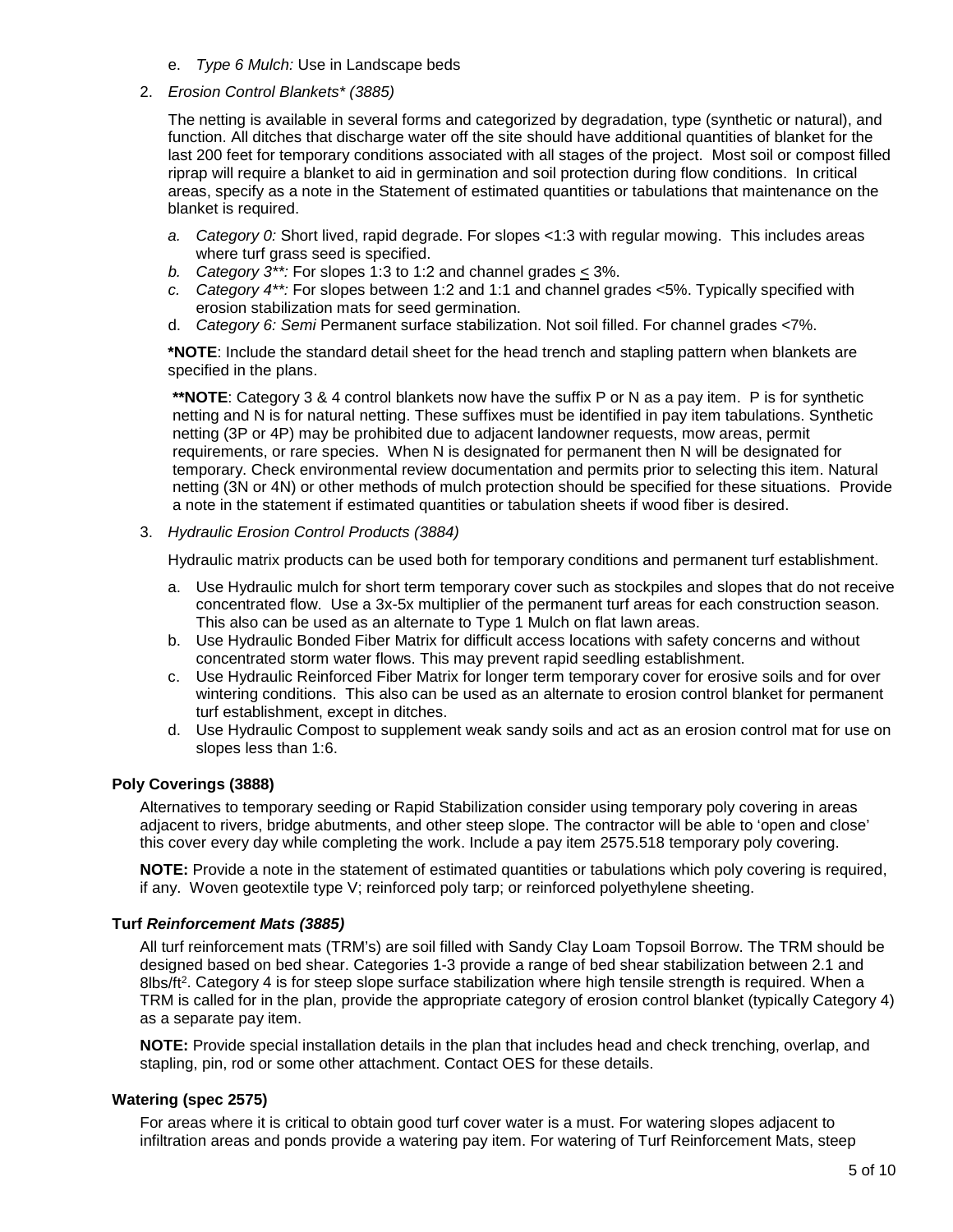- e. *Type 6 Mulch:* Use in Landscape beds
- 2. *Erosion Control Blankets\* (3885)*

The netting is available in several forms and categorized by degradation, type (synthetic or natural), and function. All ditches that discharge water off the site should have additional quantities of blanket for the last 200 feet for temporary conditions associated with all stages of the project. Most soil or compost filled riprap will require a blanket to aid in germination and soil protection during flow conditions. In critical areas, specify as a note in the Statement of estimated quantities or tabulations that maintenance on the blanket is required.

- *a. Category 0:* Short lived, rapid degrade. For slopes <1:3 with regular mowing. This includes areas where turf grass seed is specified.
- *b. Category*  $3^{**}$ : For slopes 1:3 to 1:2 and channel grades  $\leq$  3%.
- *c. Category 4\*\*:* For slopes between 1:2 and 1:1 and channel grades <5%. Typically specified with erosion stabilization mats for seed germination.
- d. *Category 6: Semi* Permanent surface stabilization. Not soil filled. For channel grades <7%.

**\*NOTE**: Include the standard detail sheet for the head trench and stapling pattern when blankets are specified in the plans.

**\*\*NOTE**: Category 3 & 4 control blankets now have the suffix P or N as a pay item. P is for synthetic netting and N is for natural netting. These suffixes must be identified in pay item tabulations. Synthetic netting (3P or 4P) may be prohibited due to adjacent landowner requests, mow areas, permit requirements, or rare species. When N is designated for permanent then N will be designated for temporary. Check environmental review documentation and permits prior to selecting this item. Natural netting (3N or 4N) or other methods of mulch protection should be specified for these situations. Provide a note in the statement if estimated quantities or tabulation sheets if wood fiber is desired.

3. *Hydraulic Erosion Control Products (3884)*

Hydraulic matrix products can be used both for temporary conditions and permanent turf establishment.

- a. Use Hydraulic mulch for short term temporary cover such as stockpiles and slopes that do not receive concentrated flow. Use a 3x-5x multiplier of the permanent turf areas for each construction season. This also can be used as an alternate to Type 1 Mulch on flat lawn areas.
- b. Use Hydraulic Bonded Fiber Matrix for difficult access locations with safety concerns and without concentrated storm water flows. This may prevent rapid seedling establishment.
- c. Use Hydraulic Reinforced Fiber Matrix for longer term temporary cover for erosive soils and for over wintering conditions. This also can be used as an alternate to erosion control blanket for permanent turf establishment, except in ditches.
- d. Use Hydraulic Compost to supplement weak sandy soils and act as an erosion control mat for use on slopes less than 1:6.

#### **Poly Coverings (3888)**

Alternatives to temporary seeding or Rapid Stabilization consider using temporary poly covering in areas adjacent to rivers, bridge abutments, and other steep slope. The contractor will be able to 'open and close' this cover every day while completing the work. Include a pay item 2575.518 temporary poly covering.

**NOTE:** Provide a note in the statement of estimated quantities or tabulations which poly covering is required, if any. Woven geotextile type V; reinforced poly tarp; or reinforced polyethylene sheeting.

#### **Turf** *Reinforcement Mats (3885)*

All turf reinforcement mats (TRM's) are soil filled with Sandy Clay Loam Topsoil Borrow. The TRM should be designed based on bed shear. Categories 1-3 provide a range of bed shear stabilization between 2.1 and 8lbs/ft<sup>2</sup>. Category 4 is for steep slope surface stabilization where high tensile strength is required. When a TRM is called for in the plan, provide the appropriate category of erosion control blanket (typically Category 4) as a separate pay item.

**NOTE:** Provide special installation details in the plan that includes head and check trenching, overlap, and stapling, pin, rod or some other attachment. Contact OES for these details.

#### **Watering (spec 2575)**

For areas where it is critical to obtain good turf cover water is a must. For watering slopes adjacent to infiltration areas and ponds provide a watering pay item. For watering of Turf Reinforcement Mats, steep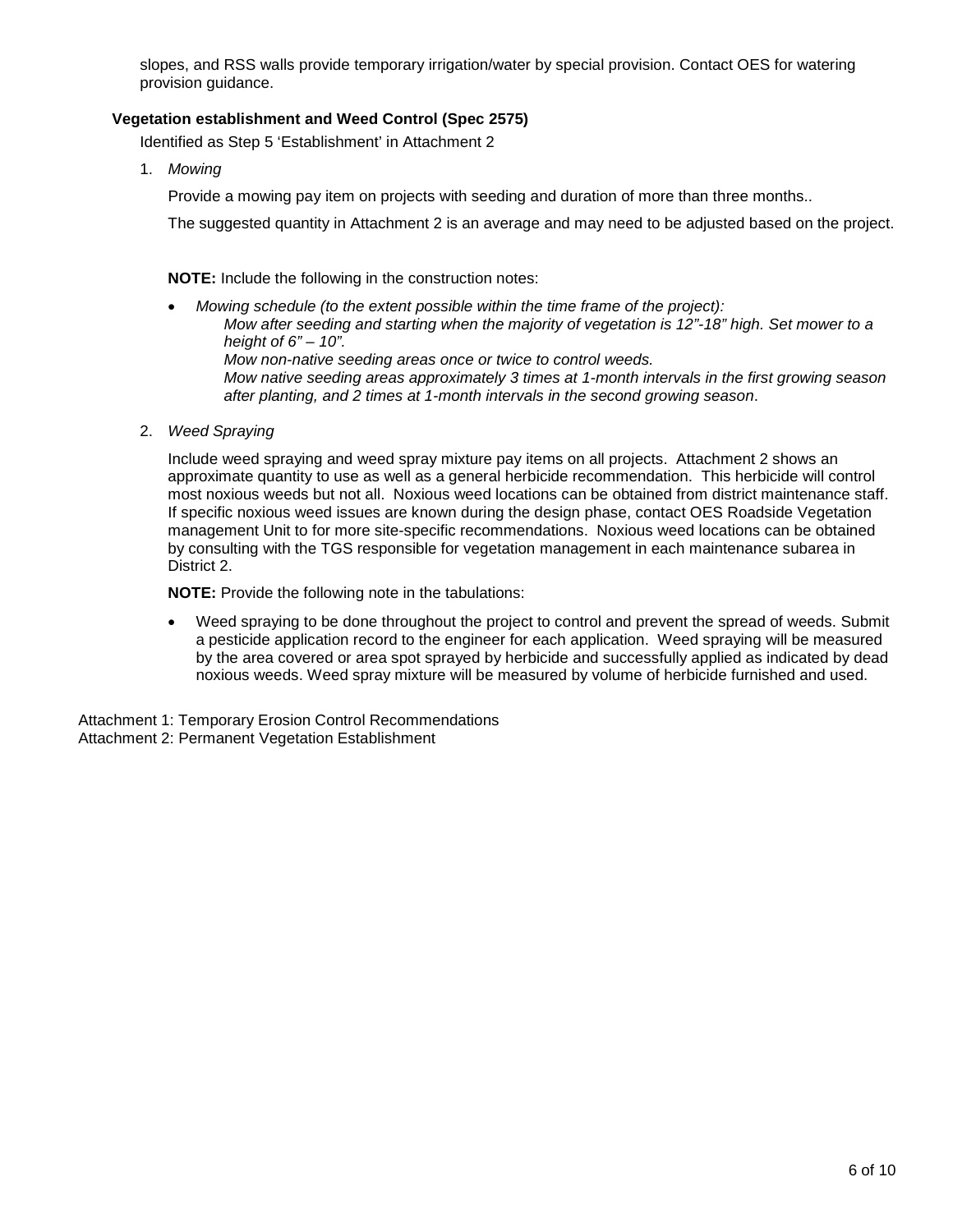slopes, and RSS walls provide temporary irrigation/water by special provision. Contact OES for watering provision guidance.

#### **Vegetation establishment and Weed Control (Spec 2575)**

Identified as Step 5 'Establishment' in Attachment 2

1. *Mowing*

Provide a mowing pay item on projects with seeding and duration of more than three months..

The suggested quantity in Attachment 2 is an average and may need to be adjusted based on the project.

**NOTE:** Include the following in the construction notes:

• *Mowing schedule (to the extent possible within the time frame of the project): Mow after seeding and starting when the majority of vegetation is 12"-18" high. Set mower to a height of 6" – 10". Mow non-native seeding areas once or twice to control weeds. Mow native seeding areas approximately 3 times at 1-month intervals in the first growing season after planting, and 2 times at 1-month intervals in the second growing season*.

2. *Weed Spraying* 

Include weed spraying and weed spray mixture pay items on all projects. Attachment 2 shows an approximate quantity to use as well as a general herbicide recommendation. This herbicide will control most noxious weeds but not all. Noxious weed locations can be obtained from district maintenance staff. If specific noxious weed issues are known during the design phase, contact OES Roadside Vegetation management Unit to for more site-specific recommendations. Noxious weed locations can be obtained by consulting with the TGS responsible for vegetation management in each maintenance subarea in District 2.

**NOTE:** Provide the following note in the tabulations:

• Weed spraying to be done throughout the project to control and prevent the spread of weeds. Submit a pesticide application record to the engineer for each application. Weed spraying will be measured by the area covered or area spot sprayed by herbicide and successfully applied as indicated by dead noxious weeds. Weed spray mixture will be measured by volume of herbicide furnished and used.

Attachment 1: Temporary Erosion Control Recommendations Attachment 2: Permanent Vegetation Establishment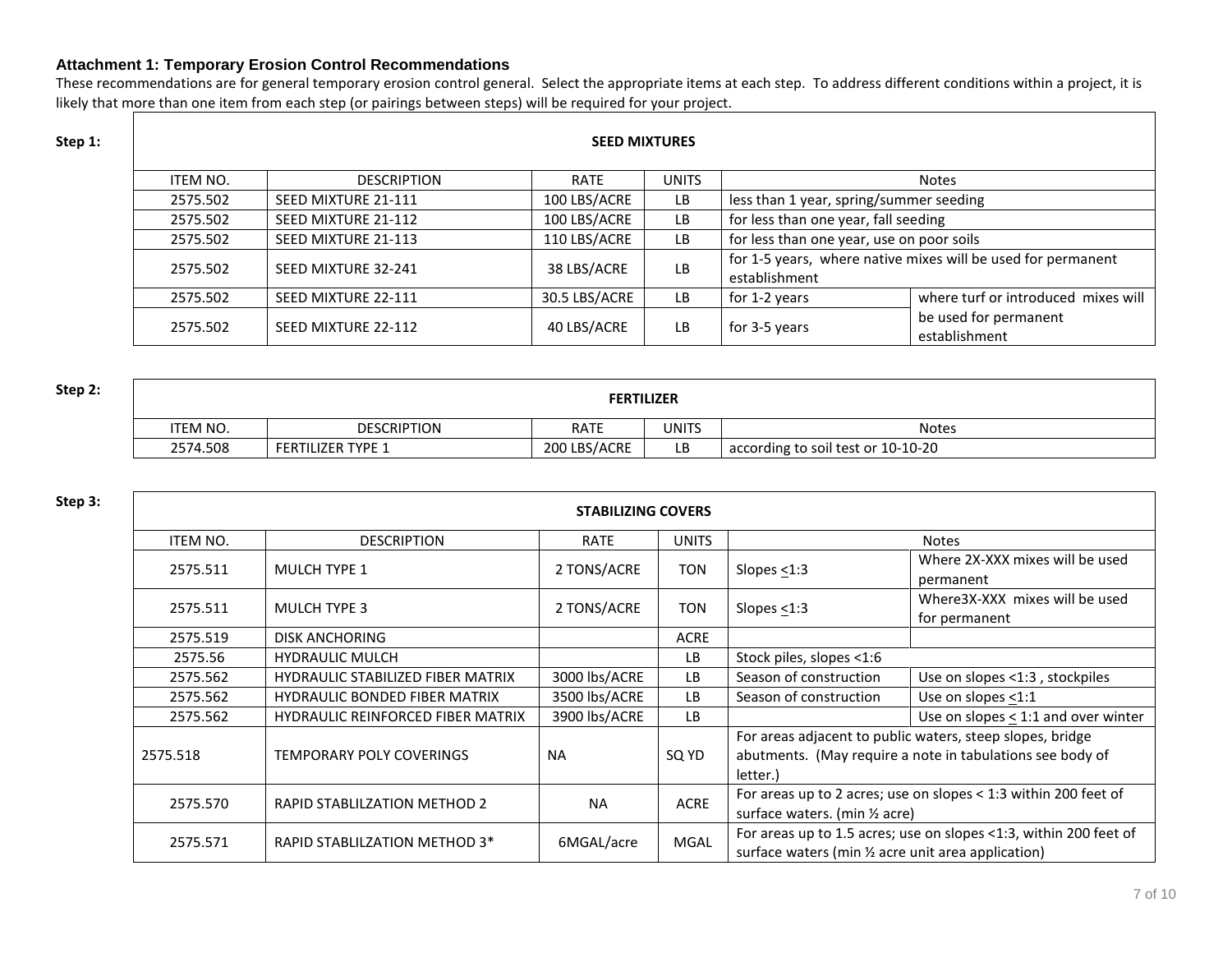#### **Attachment 1: Temporary Erosion Control Recommendations**

These recommendations are for general temporary erosion control general. Select the appropriate items at each step. To address different conditions within a project, it is likely that more than one item from each step (or pairings between steps) will be required for your project.

### **SEED MIXTURES** ITEM NO. DESCRIPTION RATE UNITS Notes 2575.502 SEED MIXTURE 21-111 100 LBS/ACRE LB less than 1 year, spring/summer seeding 2575.502 SEED MIXTURE 21-112 100 LBS/ACRE LB for less than one year, fall seeding 2575.502 SEED MIXTURE 21-113 110 LBS/ACRE LB for less than one year, use on poor soils 2575.502 SEED MIXTURE 32-241 38 LBS/ACRE LB for 1-5 years, where native mixes will be used for permanent establishment 2575.502 SEED MIXTURE 22-111 30.5 LBS/ACRE LB for 1-2 years where turf or introduced mixes will be used for permanent establishment 2575.502 SEED MIXTURE 22-112 40 LBS/ACRE LB for 3-5 years establishment

| Step 2: | <b>FERTILIZER</b> |                          |              |              |                                    |  |
|---------|-------------------|--------------------------|--------------|--------------|------------------------------------|--|
|         | <b>'TEM NO.</b>   | <b>DESCRIPTION</b>       | <b>RATE</b>  | <b>UNITS</b> | <b>Notes</b>                       |  |
|         | 2574.508          | <b>FERTILIZER TYPE 1</b> | 200 LBS/ACRE | LВ           | according to soil test or 10-10-20 |  |

| Step 3: | <b>STABILIZING COVERS</b> |                                          |               |              |                                                                                                                                                                                                                                         |                                                                   |  |  |
|---------|---------------------------|------------------------------------------|---------------|--------------|-----------------------------------------------------------------------------------------------------------------------------------------------------------------------------------------------------------------------------------------|-------------------------------------------------------------------|--|--|
|         | <b>ITEM NO.</b>           | <b>DESCRIPTION</b>                       | <b>RATE</b>   | <b>UNITS</b> | <b>Notes</b>                                                                                                                                                                                                                            |                                                                   |  |  |
|         | 2575.511                  | <b>MULCH TYPE 1</b>                      | 2 TONS/ACRE   | <b>TON</b>   | Slopes $<$ 1:3                                                                                                                                                                                                                          | Where 2X-XXX mixes will be used<br>permanent                      |  |  |
|         | 2575.511                  | <b>MULCH TYPE 3</b>                      | 2 TONS/ACRE   | TON          | Slopes $<$ 1:3                                                                                                                                                                                                                          | Where3X-XXX mixes will be used<br>for permanent                   |  |  |
|         | 2575.519                  | <b>DISK ANCHORING</b>                    |               | <b>ACRE</b>  |                                                                                                                                                                                                                                         |                                                                   |  |  |
|         | 2575.56                   | <b>HYDRAULIC MULCH</b>                   |               | LB.          | Stock piles, slopes <1:6                                                                                                                                                                                                                |                                                                   |  |  |
|         | 2575.562                  | <b>HYDRAULIC STABILIZED FIBER MATRIX</b> | 3000 lbs/ACRE | LB.          | Season of construction                                                                                                                                                                                                                  | Use on slopes <1:3, stockpiles                                    |  |  |
|         | 2575.562                  | <b>HYDRAULIC BONDED FIBER MATRIX</b>     | 3500 lbs/ACRE | LB.          | Season of construction                                                                                                                                                                                                                  | Use on slopes <1:1                                                |  |  |
|         | 2575.562                  | <b>HYDRAULIC REINFORCED FIBER MATRIX</b> | 3900 lbs/ACRE | LB           |                                                                                                                                                                                                                                         | Use on slopes $<$ 1:1 and over winter                             |  |  |
|         | 2575.518                  | <b>TEMPORARY POLY COVERINGS</b>          | <b>NA</b>     | SQ YD        | For areas adjacent to public waters, steep slopes, bridge<br>abutments. (May require a note in tabulations see body of<br>letter.)<br>For areas up to 2 acres; use on slopes < 1:3 within 200 feet of<br>surface waters. (min 1/2 acre) |                                                                   |  |  |
|         | 2575.570                  | <b>RAPID STABLILZATION METHOD 2</b>      | <b>NA</b>     | <b>ACRE</b>  |                                                                                                                                                                                                                                         |                                                                   |  |  |
|         | 2575.571                  | RAPID STABLILZATION METHOD 3*            | 6MGAL/acre    | <b>MGAL</b>  | surface waters (min 1/2 acre unit area application)                                                                                                                                                                                     | For areas up to 1.5 acres; use on slopes <1:3, within 200 feet of |  |  |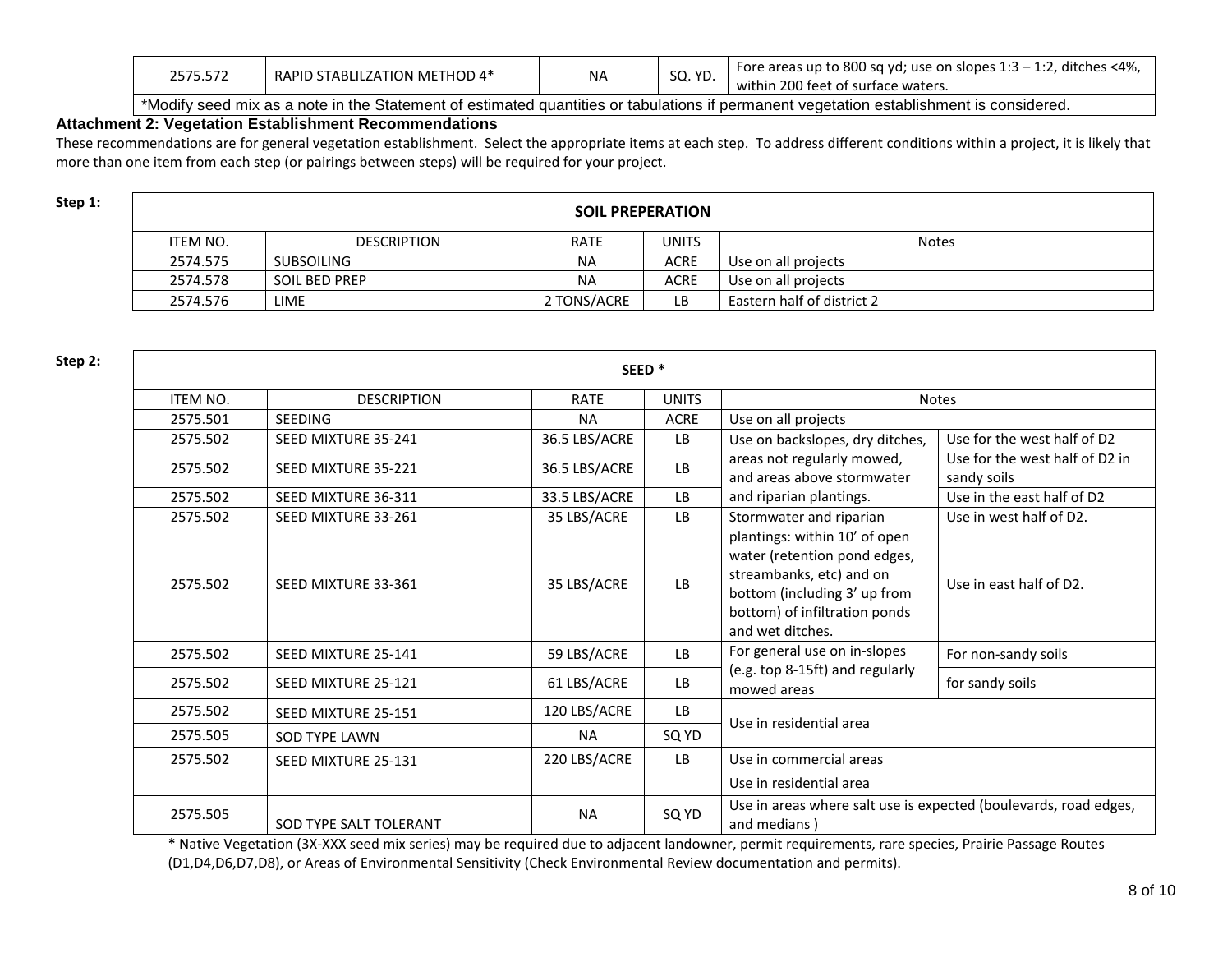| 2575.572 | RAPID STABLILZATION METHOD 4* | <b>NA</b> | חי הא<br>JU. IU. | Fore areas up to 800 sq yd; use on slopes $1:3 - 1:2$ , ditches <4%,<br>within 200 feet of surface waters. |
|----------|-------------------------------|-----------|------------------|------------------------------------------------------------------------------------------------------------|
| .        |                               |           |                  |                                                                                                            |

\*Modify seed mix as a note in the Statement of estimated quantities or tabulations if permanent vegetation establishment is considered.

#### **Attachment 2: Vegetation Establishment Recommendations**

These recommendations are for general vegetation establishment. Select the appropriate items at each step. To address different conditions within a project, it is likely that more than one item from each step (or pairings between steps) will be required for your project.

| ×<br>۰. |  |
|---------|--|
|---------|--|

| Step 1: | <b>SOIL PREPERATION</b> |                      |             |             |                            |  |  |
|---------|-------------------------|----------------------|-------------|-------------|----------------------------|--|--|
|         | ITEM NO.                | <b>DESCRIPTION</b>   | <b>RATE</b> | UNITS       | <b>Notes</b>               |  |  |
|         | 2574.575                | SUBSOILING           | <b>NA</b>   | <b>ACRE</b> | Use on all projects        |  |  |
|         | 2574.578                | <b>SOIL BED PREP</b> | ΝA          | <b>ACRE</b> | Use on all projects        |  |  |
|         | 2574.576                | <b>LIME</b>          | 2 TONS/ACRE | LB          | Eastern half of district 2 |  |  |

**Step 2: SEED \*** ITEM NO. DESCRIPTION RATE UNITS Notes 2575.501 SEEDING NA ACRE Use on all projects 2575.502 SEED MIXTURE 35-241 36.5 LBS/ACRE LB Use on backslopes, dry ditches, areas not regularly mowed, and areas above stormwater and riparian plantings. Use for the west half of D2 2575.502 SEED MIXTURE 35-221 36.5 LBS/ACRE LB and seeds for the west half of D2 in sandy soils 2575.502 SEED MIXTURE 36-311 33.5 LBS/ACRE LB and riparian plantings. Use in the east half of D2 2575.502 SEED MIXTURE 33-261 35 LBS/ACRE LB Stormwater and riparian plantings: within 10' of open water (retention pond edges, streambanks, etc) and on bottom (including 3' up from bottom) of infiltration ponds and wet ditches. Use in west half of D2. 2575.502 SEED MIXTURE 33-361 35 LBS/ACRE LAB USE CONDUCTS: USE IN USE In east half of D2. 2575.502 SEED MIXTURE 25-141 | 59 LBS/ACRE | LB | For general use on in-slopes (e.g. top 8-15ft) and regularly mowed areas For non-sandy soils 2575.502 SEED MIXTURE 25-121 61 LBS/ACRE LB  $\frac{1}{2}$  for sandy soils 2575.502 SEED MIXTURE 25-151 | 120 LBS/ACRE | LB Use in residential area 2575.505 SOD TYPE LAWN NA SQ YD 2575.502 SEED MIXTURE 25-131 220 LBS/ACRE LB Use in commercial areas Use in residential area 2575.505 SOD TYPE SALT TOLERANT NA NA SQ YD Use in areas where salt use is expected (boulevards, road edges, and medians )

**\*** Native Vegetation (3X-XXX seed mix series) may be required due to adjacent landowner, permit requirements, rare species, Prairie Passage Routes (D1,D4,D6,D7,D8), or Areas of Environmental Sensitivity (Check Environmental Review documentation and permits).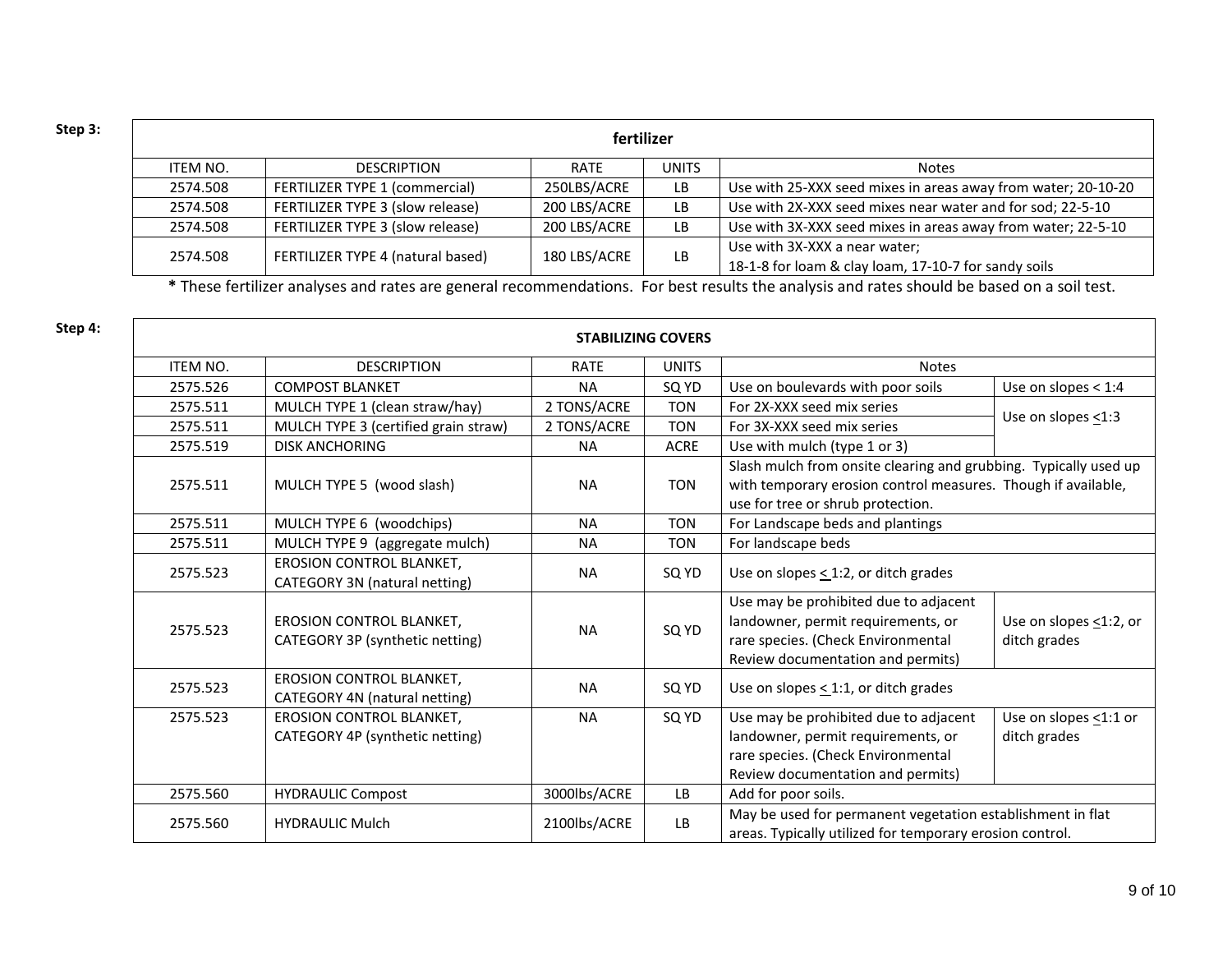| Step 3: | fertilizer |                                   |              |              |                                                                                       |  |  |
|---------|------------|-----------------------------------|--------------|--------------|---------------------------------------------------------------------------------------|--|--|
|         | ITEM NO.   | <b>DESCRIPTION</b>                | RATE         | <b>UNITS</b> | <b>Notes</b>                                                                          |  |  |
|         | 2574.508   | FERTILIZER TYPE 1 (commercial)    | 250LBS/ACRE  | LB           | Use with 25-XXX seed mixes in areas away from water; 20-10-20                         |  |  |
|         | 2574.508   | FERTILIZER TYPE 3 (slow release)  | 200 LBS/ACRE | LB           | Use with 2X-XXX seed mixes near water and for sod; 22-5-10                            |  |  |
|         | 2574.508   | FERTILIZER TYPE 3 (slow release)  | 200 LBS/ACRE | LB           | Use with 3X-XXX seed mixes in areas away from water; 22-5-10                          |  |  |
|         | 2574.508   | FERTILIZER TYPE 4 (natural based) | 180 LBS/ACRE | LB           | Use with 3X-XXX a near water;<br>18-1-8 for loam & clay loam, 17-10-7 for sandy soils |  |  |

**\*** These fertilizer analyses and rates are general recommendations. For best results the analysis and rates should be based on a soil test.

| Step 4: |                 |                                                                    | <b>STABILIZING COVERS</b> |              |                                                                                                                                                                        |                                              |  |
|---------|-----------------|--------------------------------------------------------------------|---------------------------|--------------|------------------------------------------------------------------------------------------------------------------------------------------------------------------------|----------------------------------------------|--|
|         | <b>ITEM NO.</b> | <b>DESCRIPTION</b>                                                 | <b>RATE</b>               | <b>UNITS</b> | <b>Notes</b>                                                                                                                                                           |                                              |  |
|         | 2575.526        | <b>COMPOST BLANKET</b>                                             | <b>NA</b>                 | SQ YD        | Use on boulevards with poor soils                                                                                                                                      | Use on slopes $<$ 1:4                        |  |
|         | 2575.511        | MULCH TYPE 1 (clean straw/hay)                                     | 2 TONS/ACRE               | <b>TON</b>   | For 2X-XXX seed mix series                                                                                                                                             |                                              |  |
|         | 2575.511        | MULCH TYPE 3 (certified grain straw)                               | 2 TONS/ACRE               | <b>TON</b>   | For 3X-XXX seed mix series                                                                                                                                             | Use on slopes $\leq$ 1:3                     |  |
|         | 2575.519        | <b>DISK ANCHORING</b>                                              | <b>NA</b>                 | <b>ACRE</b>  | Use with mulch (type 1 or 3)                                                                                                                                           |                                              |  |
|         | 2575.511        | MULCH TYPE 5 (wood slash)                                          | <b>NA</b>                 | <b>TON</b>   | Slash mulch from onsite clearing and grubbing. Typically used up<br>with temporary erosion control measures. Though if available,<br>use for tree or shrub protection. |                                              |  |
|         | 2575.511        | MULCH TYPE 6 (woodchips)                                           | <b>NA</b>                 | <b>TON</b>   | For Landscape beds and plantings                                                                                                                                       |                                              |  |
|         | 2575.511        | MULCH TYPE 9 (aggregate mulch)                                     | <b>NA</b>                 | <b>TON</b>   | For landscape beds                                                                                                                                                     |                                              |  |
|         | 2575.523        | <b>EROSION CONTROL BLANKET.</b><br>CATEGORY 3N (natural netting)   | <b>NA</b>                 | SQ YD        | Use on slopes $\leq$ 1:2, or ditch grades                                                                                                                              |                                              |  |
|         | 2575.523        | <b>EROSION CONTROL BLANKET,</b><br>CATEGORY 3P (synthetic netting) | <b>NA</b>                 | SQ YD        | Use may be prohibited due to adjacent<br>landowner, permit requirements, or<br>rare species. (Check Environmental<br>Review documentation and permits)                 | Use on slopes $\leq$ 1:2, or<br>ditch grades |  |
|         | 2575.523        | <b>EROSION CONTROL BLANKET,</b><br>CATEGORY 4N (natural netting)   | <b>NA</b>                 | SQ YD        | Use on slopes $\leq$ 1:1, or ditch grades                                                                                                                              |                                              |  |
|         | 2575.523        | <b>EROSION CONTROL BLANKET,</b><br>CATEGORY 4P (synthetic netting) | <b>NA</b>                 | SQ YD        | Use may be prohibited due to adjacent<br>landowner, permit requirements, or<br>rare species. (Check Environmental<br>Review documentation and permits)                 | Use on slopes $\leq$ 1:1 or<br>ditch grades  |  |
|         | 2575.560        | <b>HYDRAULIC Compost</b>                                           | 3000lbs/ACRE              | LB           | Add for poor soils.                                                                                                                                                    |                                              |  |
|         | 2575.560        | <b>HYDRAULIC Mulch</b>                                             | 2100lbs/ACRE              | LB.          | May be used for permanent vegetation establishment in flat<br>areas. Typically utilized for temporary erosion control.                                                 |                                              |  |